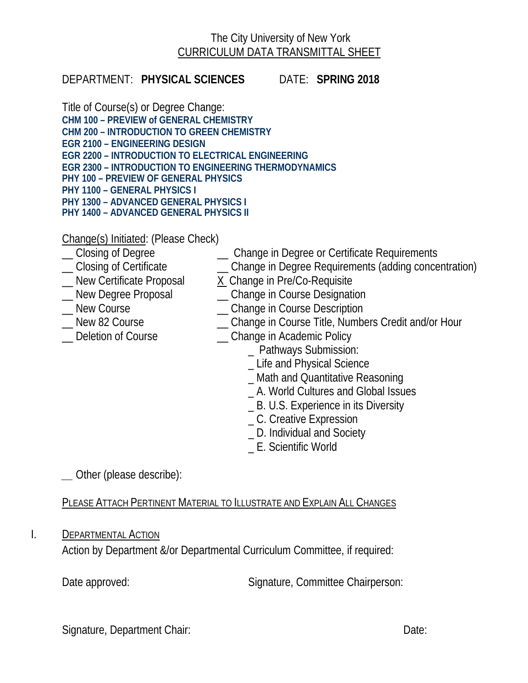## The City University of New York CURRICULUM DATA TRANSMITTAL SHEET

### DEPARTMENT: **PHYSICAL SCIENCES** DATE: **SPRING 2018**

Title of Course(s) or Degree Change: **CHM 100 – PREVIEW of GENERAL CHEMISTRY CHM 200 – INTRODUCTION TO GREEN CHEMISTRY EGR 2100 – ENGINEERING DESIGN EGR 2200 – INTRODUCTION TO ELECTRICAL ENGINEERING EGR 2300 – INTRODUCTION TO ENGINEERING THERMODYNAMICS PHY 100 – PREVIEW OF GENERAL PHYSICS PHY 1100 – GENERAL PHYSICS I PHY 1300 – ADVANCED GENERAL PHYSICS I PHY 1400 – ADVANCED GENERAL PHYSICS II**

Change(s) Initiated: (Please Check)<br>
\_ Closing of Degree

- 
- \_ Change in Degree or Certificate Requirements
- \_\_ Closing of Certificate \_\_ Change in Degree Requirements (adding concentration)
- 
- 
- 
- 
- 
- 
- Mew Certificate Proposal X Change in Pre/Co-Requisite

<br>
Mew Degree Proposal  $\qquad \qquad \qquad$  Change in Course Designat
	- \_\_ New Degree Proposal \_\_ Change in Course Designation
- \_\_ New Course \_\_ Change in Course Description
- \_ New 82 Course \_\_\_\_\_\_\_\_\_\_\_\_\_\_\_\_\_\_\_\_\_\_Change in Course Title, Numbers Credit and/or Hour
- \_\_ Deletion of Course \_\_ Change in Academic Policy
	- \_ Pathways Submission:
	- \_ Life and Physical Science
	- \_ Math and Quantitative Reasoning
	- \_ A. World Cultures and Global Issues
	- \_ B. U.S. Experience in its Diversity
	- \_ C. Creative Expression
	- \_ D. Individual and Society
	- \_ E. Scientific World

*\_\_* Other (please describe):

# PLEASE ATTACH PERTINENT MATERIAL TO ILLUSTRATE AND EXPLAIN ALL CHANGES

## I. DEPARTMENTAL ACTION

Action by Department &/or Departmental Curriculum Committee, if required:

Date approved: Signature, Committee Chairperson:

Signature, Department Chair: Date: Date: Date: Date: Date: Date: Date: Date: Date: Date: Date: Date: Date: Date: Date: Date: Date: Date: Date: Date: Date: Date: Date: Date: Date: Date: Date: Date: Date: Date: Date: Date: D